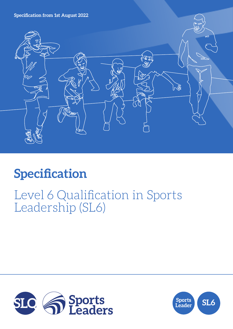**Specification from 1st August 2022**



# **Specification**

## Level 6 Qualification in Sports Leadership (SL6)



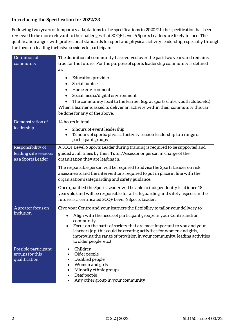## **Introducing the Specification for 2022/23**

Following two years of temporary adaptations to the specifications in 2020/21, the specification has been reviewed to be more relevant to the challenges that SCQF Level 6 Sports Leaders are likely to face. The qualification aligns with professional standards for sport and physical activity leadership, especially through the focus on leading inclusive sessions to participants.

| Definition of                                                    | The definition of community has evolved over the past two years and remains                                                                                                                                                                                          |  |  |
|------------------------------------------------------------------|----------------------------------------------------------------------------------------------------------------------------------------------------------------------------------------------------------------------------------------------------------------------|--|--|
| community                                                        | true for the future. For the purpose of sports leadership community is defined                                                                                                                                                                                       |  |  |
|                                                                  | as:                                                                                                                                                                                                                                                                  |  |  |
|                                                                  | <b>Education provider</b><br>Social bubble<br>Home environment<br>Social media/digital environment<br>The community local to the learner (e.g. at sports clubs, youth clubs, etc.)<br>When a learner is asked to deliver an activity within their community this can |  |  |
|                                                                  | be done for any of the above.                                                                                                                                                                                                                                        |  |  |
| Demonstration of                                                 | 14 hours in total:                                                                                                                                                                                                                                                   |  |  |
| leadership                                                       | 2 hours of event leadership<br>12 hours of sports/physical activity session leadership to a range of                                                                                                                                                                 |  |  |
|                                                                  | participant groups                                                                                                                                                                                                                                                   |  |  |
| Responsibility of<br>leading safe sessions<br>as a Sports Leader | A SCQF Level 6 Sports Leader during training is required to be supported and<br>guided at all times by their Tutor/Assessor or person in charge of the<br>organisation they are leading in.                                                                          |  |  |
|                                                                  | The responsible person will be required to advise the Sports Leader on risk<br>assessments and the interventions required to put in place in line with the<br>organisation's safeguarding and safety guidance.                                                       |  |  |
|                                                                  | Once qualified the Sports Leader will be able to independently lead (once 18<br>years old) and will be responsible for all safeguarding and safety aspects in the<br>future as a certificated SCQF Level 6 Sports Leader.                                            |  |  |
| A greater focus on                                               | Give your Centre and your learners the flexibility to tailor your delivery to:                                                                                                                                                                                       |  |  |
| inclusion                                                        | Align with the needs of participant groups in your Centre and/or<br>community<br>Focus on the parts of society that are most important to you and your                                                                                                               |  |  |
|                                                                  | learners (e.g. this could be creating activities for women and girls,<br>improving the range of provision in your community, leading activities<br>to older people, etc.)                                                                                            |  |  |
| Possible participant<br>groups for this<br>qualification         | Children<br>$\bullet$<br>Older people<br>Disabled people<br>Women and girls<br>Minority ethnic groups<br>Deaf people<br>Any other group in your community                                                                                                            |  |  |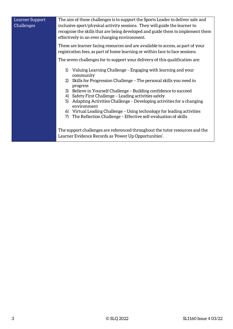| Learner Support | The aim of these challenges is to support the Sports Leader to deliver safe and           |  |  |
|-----------------|-------------------------------------------------------------------------------------------|--|--|
| Challenges      | inclusive sport/physical activity sessions. They will guide the learner to                |  |  |
|                 | recognise the skills that are being developed and guide them to implement them            |  |  |
|                 |                                                                                           |  |  |
|                 | effectively in an ever changing environment.                                              |  |  |
|                 | These are learner facing resources and are available to access, as part of your           |  |  |
|                 |                                                                                           |  |  |
|                 | registration fees, as part of home learning or within face to face sessions.              |  |  |
|                 | The seven challenges for to support your delivery of this qualification are:              |  |  |
|                 | Valuing Learning Challenge - Engaging with learning and your<br>1)                        |  |  |
|                 | community                                                                                 |  |  |
|                 | Skills for Progression Challenge - The personal skills you need to<br>2)                  |  |  |
|                 | progress                                                                                  |  |  |
|                 | 3) Believe in Yourself Challenge - Building confidence to succeed                         |  |  |
|                 |                                                                                           |  |  |
|                 | Safety First Challenge - Leading activities safely<br>4)                                  |  |  |
|                 | Adapting Activities Challenge – Developing activities for a changing<br>5)<br>environment |  |  |
|                 | 6) Virtual Leading Challenge - Using technology for leading activities                    |  |  |
|                 | 7)<br>The Reflection Challenge - Effective self-evaluation of skills                      |  |  |
|                 |                                                                                           |  |  |
|                 |                                                                                           |  |  |
|                 | The support challenges are referenced throughout the tutor resources and the              |  |  |
|                 |                                                                                           |  |  |
|                 | Learner Evidence Records as 'Power Up Opportunities'.                                     |  |  |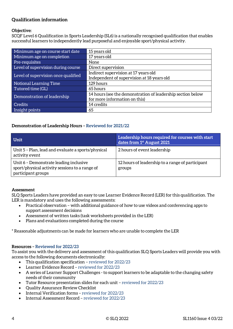## **Qualification information**

#### **Objective:**

SCQF Level 6 Qualification in Sports Leadership (SL6) is a nationally recognised qualification that enables successful learners to independently lead purposeful and enjoyable sport/physical activity.

| Minimum age on course start date    | 15 years old                                                |  |
|-------------------------------------|-------------------------------------------------------------|--|
| Minimum age on completion           | 17 years old                                                |  |
| Pre-requisites                      | None                                                        |  |
| Level of supervision during course  | Direct supervision                                          |  |
| Level of supervision once qualified | Indirect supervision at 17 years old                        |  |
|                                     | Independent of supervision at 18 years old                  |  |
| Notional Learning Time              | 129 hours                                                   |  |
| Tutored time (GL)                   | 65 hours                                                    |  |
| Demonstration of leadership         | 14 hours (see the demonstration of leadership section below |  |
|                                     | for more information on this)                               |  |
| <b>Credits</b>                      | 14 credits                                                  |  |
| Insight points                      | 65                                                          |  |

#### **Demonstration of Leadership Hours – Reviewed for 2021/22**

| Unit                                                                                                           | Leadership hours required for courses with start<br>dates from 1 <sup>st</sup> August 2021 |
|----------------------------------------------------------------------------------------------------------------|--------------------------------------------------------------------------------------------|
| Unit 5 - Plan, lead and evaluate a sports/physical<br>activity event                                           | 2 hours of event leadership                                                                |
| Unit 6 - Demonstrate leading inclusive<br>sport/physical activity sessions to a range of<br>participant groups | 12 hours of leadership to a range of participant<br>groups                                 |

#### **Assessment**

SLQ Sports Leaders have provided an easy to use Learner Evidence Record (LER) for this qualification. The LER is mandatory and uses the following assessments:

- Practical observation with additional guidance of how to use videos and conferencing apps to support assessment decisions
- Assessment of written tasks (task worksheets provided in the LER)
- Plans and evaluations completed during the course

\* Reasonable adjustments can be made for learners who are unable to complete the LER

#### **Resources – Reviewed for 2022/23**

To assist you with the delivery and assessment of this qualification SLQ Sports Leaders will provide you with access to the following documents electronically:

- This qualification specification reviewed for 2022/23
- Learner Evidence Record reviewed for 2022/23
- A series of Learner Support Challenges to support learners to be adaptable to the changing safety needs of their community
- Tutor Resource presentation slides for each unit reviewed for 2022/23
- Quality Assurance Review Checklist
- Internal Verification forms reviewed for 2022/23
- Internal Assessment Record reviewed for 2022/23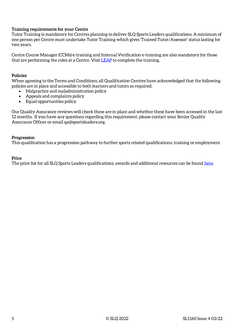#### **Training requirements for your Centre**

Tutor Training is mandatory for Centres planning to deliver SLQ Sports Leaders qualifications. A minimum of one person per Centre must undertake Tutor Training which gives 'Trained Tutor/Assessor' status lasting for two years.

Centre Course Manager (CCMs) e-training and Internal Verification e-training are also mandatory for those that are performing the roles at a Centre. Visi[t LEAP](https://leap.slqskills.org/training-menu/?def=1) to complete the training.

#### **Policies**

When agreeing to the Terms and Conditions, all Qualification Centres have acknowledged that the following policies are in place and accessible to both learners and tutors as required:

- Malpractice and maladministration policy
- Appeals and complaints policy
- Equal opportunities policy

Our Quality Assurance reviews will check these are in place and whether these have been accessed in the last 12 months. If you have any questions regarding this requirement, please contact your Senior Quality Assurance Officer or email qa@sportsleaders.org.

#### **Progression**

This qualification has a progression pathway to further sports related qualifications, training or employment.

#### **Price**

The price list for all SLQ Sports Leaders qualifications, awards and additional resources can be found [here.](https://www.sportsleaders.org/about-us-1/prices)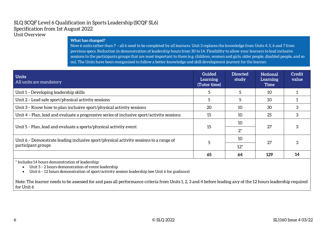#### SLQ SCQF Level 6 Qualification in Sports Leadership (SCQF SL6) Specification from 1st August 2022 Unit Overview

#### **What has changed?**

Now 6 units rather than 7 – all 6 need to be completed by all learners. Unit 3 replaces the knowledge from Units 4, 5, 6 and 7 from previous specs. Reduction in demonstration of leadership hours from 30 to 14. Flexibility to allow your learners to lead inclusive sessions to the participants groups that are most important to them (e.g. children, women and girls, older people, disabled people, and so on). The Units have been reorganised to follow a better knowledge and skill development journey for the learner.

| <b>Units</b><br>All units are mandatory                                                    | <b>Guided</b><br>Learning<br>(Tutor time) | <b>Directed</b><br>study | <b>Notional</b><br>Learning<br><b>Time</b> | Credit<br>value |
|--------------------------------------------------------------------------------------------|-------------------------------------------|--------------------------|--------------------------------------------|-----------------|
| Unit 1 - Developing leadership skills                                                      |                                           |                          | 10                                         |                 |
| Unit 2 - Lead safe sport/physical activity sessions                                        | 5                                         | 5                        | 10                                         |                 |
| Unit 3 - Know how to plan inclusive sport/physical activity sessions                       | 20                                        | 10                       | 30                                         | 3               |
| Unit 4 - Plan, lead and evaluate a progressive series of inclusive sport/activity sessions | 15                                        | 10                       | 25                                         | 3               |
|                                                                                            |                                           | 10                       |                                            |                 |
| Unit 5 - Plan, lead and evaluate a sports/physical activity event                          | 15                                        | $2^*$                    | 27                                         |                 |
| Unit 6 - Demonstrate leading inclusive sport/physical activity sessions to a range of      |                                           | 10                       | 27                                         |                 |
| participant groups                                                                         |                                           | $12*$                    |                                            |                 |
|                                                                                            | 65                                        | 64                       | 129                                        | 14              |

\* Includes 14 hours demonstration of leadership:

• Unit 5 – 2 hours demonstration of event leadership

• Unit 6 – 12 hours demonstration of sport/activity session leadership (see Unit 6 for guidance)

Note: The learner needs to be assessed for and pass all performance criteria from Units 1, 2, 3 and 4 before leading any of the 12 hours leadership required for Unit 6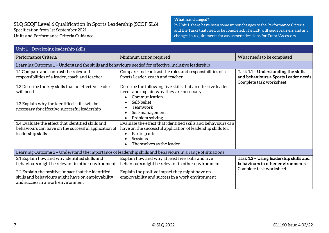### SLQ SCQF Level 6 Qualification in Sports Leadership (SCQF SL6) Specification from 1st September 2021 Units and Performance Criteria Guidance

#### **What has changed?**

In Unit 1, there have been some minor changes to the Performance Criteria and the Tasks that need to be completed. The LER will guide learners and any changes in requirements for assessment decisions for Tutor/Assessors.

| Unit 1 - Developing leadership skills                                                                                                         |                                                                                                                                                                                       |                                                                                                        |  |
|-----------------------------------------------------------------------------------------------------------------------------------------------|---------------------------------------------------------------------------------------------------------------------------------------------------------------------------------------|--------------------------------------------------------------------------------------------------------|--|
| Performance Criteria                                                                                                                          | Minimum action required                                                                                                                                                               | What needs to be completed                                                                             |  |
| Learning Outcome 1 - Understand the skills and behaviours needed for effective, inclusive leadership                                          |                                                                                                                                                                                       |                                                                                                        |  |
| 1.1 Compare and contrast the roles and<br>responsibilities of a leader, coach and teacher                                                     | Compare and contrast the roles and responsibilities of a<br>Sports Leader, coach and teacher                                                                                          | Task 1.1 - Understanding the skills<br>and behaviours a Sports Leader needs<br>Complete task worksheet |  |
| 1.2 Describe the key skills that an effective leader<br>will need                                                                             | Describe the following five skills that an effective leader<br>needs and explain why they are necessary:<br>Communication                                                             |                                                                                                        |  |
| 1.3 Explain why the identified skills will be<br>necessary for effective successful leadership                                                | Self-belief<br>Teamwork<br>Self-management<br>Problem solving                                                                                                                         |                                                                                                        |  |
| 1.4 Evaluate the effect that identified skills and<br>behaviours can have on the successful application of $\mid$<br>leadership skills        | Evaluate the effect that identified skills and behaviours can<br>have on the successful application of leadership skills for:<br>Participants<br>Sessions<br>Themselves as the leader |                                                                                                        |  |
| Learning Outcome 2 - Understand the importance of leadership skills and behaviours in a range of situations                                   |                                                                                                                                                                                       |                                                                                                        |  |
| 2.1 Explain how and why identified skills and<br>behaviours might be relevant in other environments                                           | Explain how and why at least five skills and five<br>behaviours might be relevant in other environments                                                                               | Task 1.2 - Using leadership skills and<br>behaviours in other environments                             |  |
| 2.2 Explain the positive impact that the identified<br>skills and behaviours might have on employability<br>and success in a work environment | Explain the positive impact they might have on<br>employability and success in a work environment                                                                                     | Complete task worksheet                                                                                |  |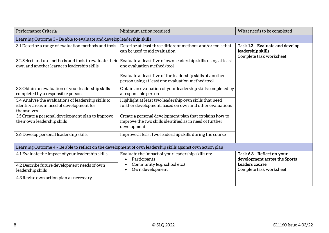| Performance Criteria                                                                                           | Minimum action required                                                                                                           | What needs to be completed                                                      |  |
|----------------------------------------------------------------------------------------------------------------|-----------------------------------------------------------------------------------------------------------------------------------|---------------------------------------------------------------------------------|--|
| Learning Outcome 3 - Be able to evaluate and develop leadership skills                                         |                                                                                                                                   |                                                                                 |  |
| 3.1 Describe a range of evaluation methods and tools                                                           | Describe at least three different methods and/or tools that<br>can be used to aid evaluation                                      | Task 1.3 - Evaluate and develop<br>leadership skills<br>Complete task worksheet |  |
| 3.2 Select and use methods and tools to evaluate their<br>own and another learner's leadership skills          | Evaluate at least five of own leadership skills using at least<br>one evaluation method/tool                                      |                                                                                 |  |
|                                                                                                                | Evaluate at least five of the leadership skills of another<br>person using at least one evaluation method/tool                    |                                                                                 |  |
| 3.3 Obtain an evaluation of your leadership skills<br>completed by a responsible person                        | Obtain an evaluation of your leadership skills completed by<br>a responsible person                                               |                                                                                 |  |
| 3.4 Analyse the evaluations of leadership skills to<br>identify areas in need of development for<br>themselves | Highlight at least two leadership own skills that need<br>further development, based on own and other evaluations                 |                                                                                 |  |
| 3.5 Create a personal development plan to improve<br>their own leadership skills                               | Create a personal development plan that explains how to<br>improve the two skills identified as in need of further<br>development |                                                                                 |  |
| 3.6 Develop personal leadership skills                                                                         | Improve at least two leadership skills during the course                                                                          |                                                                                 |  |
| Learning Outcome 4 - Be able to reflect on the development of own leadership skills against own action plan    |                                                                                                                                   |                                                                                 |  |
| 4.1 Evaluate the impact of your leadership skills                                                              | Evaluate the impact of your leadership skills on:<br>Participants                                                                 | Task 6.3 - Reflect on your<br>development across the Sports                     |  |
| 4.2 Describe future development needs of own<br>leadership skills                                              | Community (e.g. school etc.)<br>Own development                                                                                   | Leaders course<br>Complete task worksheet                                       |  |
| 4.3 Revise own action plan as necessary                                                                        |                                                                                                                                   |                                                                                 |  |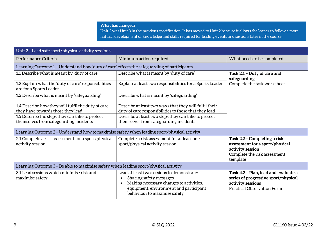Unit 2 was Unit 3 in the previous specification. It has moved to Unit 2 because it allows the leaner to follow a more natural development of knowledge and skills required for leading events and sessions later in the course.

| Unit 2 - Lead safe sport/physical activity sessions                                         |                                                                                                                                                                                                                      |                                                                                                                                        |  |
|---------------------------------------------------------------------------------------------|----------------------------------------------------------------------------------------------------------------------------------------------------------------------------------------------------------------------|----------------------------------------------------------------------------------------------------------------------------------------|--|
| Performance Criteria                                                                        | Minimum action required                                                                                                                                                                                              | What needs to be completed                                                                                                             |  |
| Learning Outcome 1 - Understand how 'duty of care' effects the safeguarding of participants |                                                                                                                                                                                                                      |                                                                                                                                        |  |
| 1.1 Describe what is meant by 'duty of care'                                                | Describe what is meant by 'duty of care'                                                                                                                                                                             | Task 2.1 - Duty of care and<br>safeguarding                                                                                            |  |
| 1.2 Explain what the 'duty of care' responsibilities<br>are for a Sports Leader             | Explain at least two responsibilities for a Sports Leader                                                                                                                                                            | Complete the task worksheet                                                                                                            |  |
| 1.3 Describe what is meant by 'safeguarding'                                                | Describe what is meant by 'safeguarding'                                                                                                                                                                             |                                                                                                                                        |  |
| 1.4 Describe how they will fulfil the duty of care<br>they have towards those they lead     | Describe at least two ways that they will fulfil their<br>duty of care responsibilities to those that they lead                                                                                                      |                                                                                                                                        |  |
| 1.5 Describe the steps they can take to protect<br>themselves from safeguarding incidents   | Describe at least two steps they can take to protect<br>themselves from safeguarding incidents                                                                                                                       |                                                                                                                                        |  |
| Learning Outcome 2 - Understand how to maximise safety when leading sport/physical activity |                                                                                                                                                                                                                      |                                                                                                                                        |  |
| 2.1 Complete a risk assessment for a sport/physical<br>activity session                     | Complete a risk assessment for at least one<br>sport/physical activity session                                                                                                                                       | Task 2.2 - Completing a risk<br>assessment for a sport/physical<br>activity session<br>Complete the risk assessment<br>template        |  |
| Learning Outcome 3 - Be able to maximise safety when leading sport/physical activity        |                                                                                                                                                                                                                      |                                                                                                                                        |  |
| 3.1 Lead sessions which minimise risk and<br>maximise safety                                | Lead at least two sessions to demonstrate:<br>Sharing safety messages<br>$\bullet$<br>Making necessary changes to activities,<br>$\bullet$<br>equipment, environment and participant<br>behaviour to maximise safety | Task 4.2 - Plan, lead and evaluate a<br>series of progressive sport/physical<br>activity sessions<br><b>Practical Observation Form</b> |  |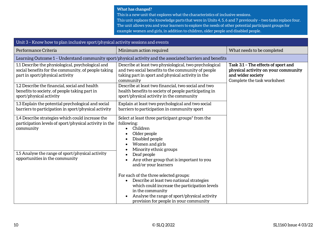This is a new unit that explores what the characteristics of inclusive sessions.

This unit replaces the knowledge parts that were in Units 4, 5, 6 and 7 previously – two tasks replace four. The unit allows you and your learners to explore the needs of other potential participant groups for example women and girls, in addition to children, older people and disabled people.

| Unit 3 - Know how to plan inclusive sport/physical activity sessions and events                                                             |                                                                                                                                                                                                                                                                 |                                                                                                                                |  |
|---------------------------------------------------------------------------------------------------------------------------------------------|-----------------------------------------------------------------------------------------------------------------------------------------------------------------------------------------------------------------------------------------------------------------|--------------------------------------------------------------------------------------------------------------------------------|--|
| Performance Criteria                                                                                                                        | Minimum action required                                                                                                                                                                                                                                         | What needs to be completed                                                                                                     |  |
|                                                                                                                                             | Learning Outcome 1 - Understand community sport/physical activity and the associated barriers and benefits                                                                                                                                                      |                                                                                                                                |  |
| 1.1 Describe the physiological, psychological and<br>social benefits for the community, of people taking<br>part in sport/physical activity | Describe at least two physiological, two psychological<br>and two social benefits to the community of people<br>taking part in sport and physical activity in the<br>community                                                                                  | Task 3.1 - The effects of sport and<br>physical activity on your community<br>and wider society<br>Complete the task worksheet |  |
| 1.2 Describe the financial, social and health<br>benefits to society, of people taking part in<br>sport/physical activity                   | Describe at least two financial, two social and two<br>health benefits to society of people participating in<br>sport/physical activity in the community                                                                                                        |                                                                                                                                |  |
| 1.3 Explain the potential psychological and social<br>barriers to participation in sport/physical activity                                  | Explain at least two psychological and two social<br>barriers to participation in community sport                                                                                                                                                               |                                                                                                                                |  |
| 1.4 Describe strategies which could increase the<br>participation levels of sport/physical activity in the<br>community                     | Select at least three participant groups <sup>*</sup> from the<br>following:<br>Children<br>Older people<br>Disabled people<br>Women and girls<br>$\bullet$<br>Minority ethnic groups                                                                           |                                                                                                                                |  |
| 1.5 Analyse the range of sport/physical activity<br>opportunities in the community                                                          | Deaf people<br>$\bullet$<br>Any other group that is important to you<br>and/or your learners                                                                                                                                                                    |                                                                                                                                |  |
|                                                                                                                                             | For each of the three selected groups:<br>Describe at least two national strategies<br>which could increase the participation levels<br>in the community<br>Analyse the range of sport/physical activity<br>$\bullet$<br>provision for people in your community |                                                                                                                                |  |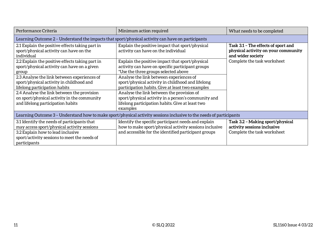| Performance Criteria                                                                                                                                                                                                                                       | Minimum action required                                                                                                                                                                                                                                                                                              | What needs to be completed                                                                      |  |
|------------------------------------------------------------------------------------------------------------------------------------------------------------------------------------------------------------------------------------------------------------|----------------------------------------------------------------------------------------------------------------------------------------------------------------------------------------------------------------------------------------------------------------------------------------------------------------------|-------------------------------------------------------------------------------------------------|--|
| Learning Outcome 2 – Understand the impacts that sport/physical activity can have on participants                                                                                                                                                          |                                                                                                                                                                                                                                                                                                                      |                                                                                                 |  |
| 2.1 Explain the positive effects taking part in<br>sport/physical activity can have on the<br>individual                                                                                                                                                   | Explain the positive impact that sport/physical<br>activity can have on the individual                                                                                                                                                                                                                               | Task 3.1 - The effects of sport and<br>physical activity on your community<br>and wider society |  |
| 2.2 Explain the positive effects taking part in<br>sport/physical activity can have on a given<br>group                                                                                                                                                    | Explain the positive impact that sport/physical<br>activity can have on specific participant groups<br>*Use the three groups selected above                                                                                                                                                                          | Complete the task worksheet                                                                     |  |
| 2.3 Analyse the link between experiences of<br>sport/physical activity in childhood and<br>lifelong participation habits<br>2.4 Analyse the link between the provision<br>on sport/physical activity in the community<br>and lifelong participation habits | Analyse the link between experiences of<br>sport/physical activity in childhood and lifelong<br>participation habits. Give at least two examples<br>Analyse the link between the provision of<br>sport/physical activity in a person's community and<br>lifelong participation habits. Give at least two<br>examples |                                                                                                 |  |
| Learning Outcome 3 – Understand how to make sport/physical activity sessions inclusive to the needs of participants                                                                                                                                        |                                                                                                                                                                                                                                                                                                                      |                                                                                                 |  |
| 3.1 Identify the needs of participants that<br>may access sport/physical activity sessions<br>3.2 Explain how to lead inclusive<br>sport/activity sessions to meet the needs of<br>participants                                                            | Identify the specific participant needs and explain<br>how to make sport/physical activity sessions inclusive<br>and accessible for the identified participant groups                                                                                                                                                | Task 3.2 - Making sport/physical<br>activity sessions inclusive<br>Complete the task worksheet  |  |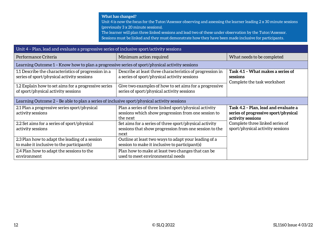Unit 4 is now the focus for the Tutor/Assessor observing and assessing the learner leading 2 x 30 minute sessions (previously 3 x 20 minute sessions).

The learner will plan three linked sessions and lead two of these under observation by the Tutor/Assessor. Sessions must be linked and they must demonstrate how they have been made inclusive for participants.

| Unit 4 - Plan, lead and evaluate a progressive series of inclusive sport/activity sessions         |                                                                                                                          |                                                                                                   |  |
|----------------------------------------------------------------------------------------------------|--------------------------------------------------------------------------------------------------------------------------|---------------------------------------------------------------------------------------------------|--|
| Performance Criteria                                                                               | Minimum action required                                                                                                  | What needs to be completed                                                                        |  |
| Learning Outcome 1 - Know how to plan a progressive series of sport/physical activity sessions     |                                                                                                                          |                                                                                                   |  |
| 1.1 Describe the characteristics of progression in a<br>series of sport/physical activity sessions | Describe at least three characteristics of progression in<br>a series of sport/physical activity sessions                | Task 4.1 - What makes a series of<br>sessions<br>Complete the task worksheet                      |  |
| 1.2 Explain how to set aims for a progressive series<br>of sport/physical activity sessions        | Give two examples of how to set aims for a progressive<br>series of sport/physical activity sessions                     |                                                                                                   |  |
| Learning Outcome 2 - Be able to plan a series of inclusive sport/physical activity sessions        |                                                                                                                          |                                                                                                   |  |
| 2.1 Plan a progressive series sport/physical<br>activity sessions                                  | Plan a series of three linked sport/physical activity<br>sessions which show progression from one session to<br>the next | Task 4.2 - Plan, lead and evaluate a<br>series of progressive sport/physical<br>activity sessions |  |
| 2.2 Set aims for a series of sport/physical<br>activity sessions                                   | Set aims for a series of three sport/physical activity<br>sessions that show progression from one session to the<br>next | Complete three linked series of<br>sport/physical activity sessions                               |  |
| 2.3 Plan how to adapt the leading of a session<br>to make it inclusive to the participant(s)       | Outline at least two ways to adapt your leading of a<br>session to make it inclusive to participant(s)                   |                                                                                                   |  |
| 2.4 Plan how to adapt the sessions to the<br>environment                                           | Plan how to make at least two changes that can be<br>used to meet environmental needs                                    |                                                                                                   |  |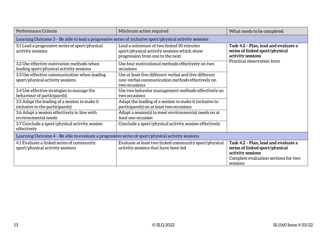| Performance Criteria                                                                                    | Minimum action required                                                                                                    | What needs to be completed                                                                                                                       |  |
|---------------------------------------------------------------------------------------------------------|----------------------------------------------------------------------------------------------------------------------------|--------------------------------------------------------------------------------------------------------------------------------------------------|--|
| Learning Outcome 3 - Be able to lead a progressive series of inclusive sport/physical activity sessions |                                                                                                                            |                                                                                                                                                  |  |
| 3.1 Lead a progressive series of sport/physical<br>activity sessions                                    | Lead a minimum of two linked 30 minutes<br>sport/physical activity sessions which show<br>progression from one to the next | Task 4.2 - Plan, lead and evaluate a<br>series of linked sport/physical<br>activity sessions<br>Practical observation form                       |  |
| 3.2 Use effective motivation methods when<br>leading sport/physical activity sessions                   | Use four motivational methods effectively on two<br>occasions                                                              |                                                                                                                                                  |  |
| 3.3 Use effective communication when leading<br>sport/physical activity sessions                        | Use at least five different verbal and five different<br>non-verbal communication methods effectively on<br>two occasions  |                                                                                                                                                  |  |
| 3.4 Use effective strategies to manage the<br>behaviour of participant(s)                               | Use two behavior management methods effectively on<br>two occasions                                                        |                                                                                                                                                  |  |
| 3.5 Adapt the leading of a session to make it<br>inclusive to the participant(s)                        | Adapt the leading of a session to make it inclusive to<br>participant(s) on at least two occasions                         |                                                                                                                                                  |  |
| 3.6 Adapt a session effectively in line with<br>environmental needs                                     | Adapt a session(s) to meet environmental needs on at<br>least one occasion                                                 |                                                                                                                                                  |  |
| 3.7 Conclude a sport/physical activity session<br>effectively                                           | Conclude a sport/physical activity session effectively                                                                     |                                                                                                                                                  |  |
| Learning Outcome 4 - Be able to evaluate a progressive series of sport/physical activity sessions       |                                                                                                                            |                                                                                                                                                  |  |
| 4.1 Evaluate a linked series of community<br>sport/physical activity sessions                           | Evaluate at least two linked community sport/physical<br>activity sessions that have been led                              | Task 4.2 - Plan, lead and evaluate a<br>series of linked sport/physical<br>activity sessions<br>Complete evaluation sections for two<br>sessions |  |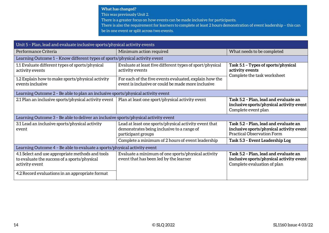**What has changed?**  This was previously Unit 2. There is a greater focus on how events can be made inclusive for participants. There is also the requirement for learners to complete at least 2 hours demonstration of event leadership – this can be in one event or split across two events.

| Unit 5 - Plan, lead and evaluate inclusive sports/physical activity events                                         |                                                                                                                           |                                                                                                                        |  |
|--------------------------------------------------------------------------------------------------------------------|---------------------------------------------------------------------------------------------------------------------------|------------------------------------------------------------------------------------------------------------------------|--|
| Performance Criteria                                                                                               | Minimum action required                                                                                                   | What needs to be completed                                                                                             |  |
| Learning Outcome 1 - Know different types of sports/physical activity event                                        |                                                                                                                           |                                                                                                                        |  |
| 1.1 Evaluate different types of sports/physical<br>activity events                                                 | Evaluate at least five different types of sport/physical<br>activity events                                               | Task 5.1 - Types of sports/physical<br>activity events<br>Complete the task worksheet                                  |  |
| 1.2 Explain how to make sports/physical activity<br>events inclusive                                               | For each of the five events evaluated, explain how the<br>event is inclusive or could be made more inclusive              |                                                                                                                        |  |
| Learning Outcome 2 - Be able to plan an inclusive sports/physical activity event                                   |                                                                                                                           |                                                                                                                        |  |
| 2.1 Plan an inclusive sports/physical activity event                                                               | Plan at least one sport/physical activity event                                                                           | Task 5.2 - Plan, lead and evaluate an<br>inclusive sports/physical activity event<br>Complete event plan               |  |
| Learning Outcome 3 - Be able to deliver an inclusive sports/physical activity event                                |                                                                                                                           |                                                                                                                        |  |
| 3.1 Lead an inclusive sports/physical activity<br>event                                                            | Lead at least one sports/physical activity event that<br>demonstrates being inclusive to a range of<br>participant groups | Task 5.2 - Plan, lead and evaluate an<br>inclusive sports/physical activity event<br><b>Practical Observation Form</b> |  |
|                                                                                                                    | Complete a minimum of 2 hours of event leadership                                                                         | Task 5.3 - Event Leadership Log                                                                                        |  |
| Learning Outcome 4 - Be able to evaluate a sports/physical activity event                                          |                                                                                                                           |                                                                                                                        |  |
| 4.1 Select and use appropriate methods and tools<br>to evaluate the success of a sports/physical<br>activity event | Evaluate a minimum of one sports/physical activity<br>event that has been led by the learner                              | Task 5.2 - Plan, lead and evaluate an<br>inclusive sports/physical activity event<br>Complete evaluation of plan       |  |
| 4.2 Record evaluations in an appropriate format                                                                    |                                                                                                                           |                                                                                                                        |  |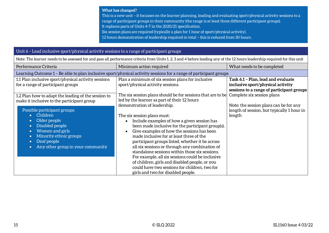This is a new unit – it focusses on the learner planning, leading and evaluating sport/physical activity sessions to a range of participant groups in their community (the range is at least three different participant groups). It replaces parts of Units 4-7 in the 2020/21 specification.

Six session plans are required (typically a plan for 1 hour of sport/physical activity).

12 hours demonstration of leadership required in total – this is reduced from 30 hours.

#### Unit 6 – Lead inclusive sport/physical activity sessions to a range of participant groups

| Note: The learner needs to be assessed for and pass all performance criteria from Units 1, 2, 3 and 4 before leading any of the 12 hours leadership required for this unit |                                                                                                                                                                                                                                                                                                                                                                                                                                                                |                                                                                                                      |  |  |
|----------------------------------------------------------------------------------------------------------------------------------------------------------------------------|----------------------------------------------------------------------------------------------------------------------------------------------------------------------------------------------------------------------------------------------------------------------------------------------------------------------------------------------------------------------------------------------------------------------------------------------------------------|----------------------------------------------------------------------------------------------------------------------|--|--|
| Performance Criteria                                                                                                                                                       | Minimum action required                                                                                                                                                                                                                                                                                                                                                                                                                                        | What needs to be completed                                                                                           |  |  |
| Learning Outcome 1 – Be able to plan inclusive sport/physical activity sessions for a range of participant groups                                                          |                                                                                                                                                                                                                                                                                                                                                                                                                                                                |                                                                                                                      |  |  |
| 1.1 Plan inclusive sport/physical activity sessions<br>for a range of participant groups                                                                                   | Plan a minimum of six session plans for inclusive<br>sport/physical activity sessions.                                                                                                                                                                                                                                                                                                                                                                         | Task 6.1 - Plan, lead and evaluate<br>inclusive sport/physical activity<br>sessions to a range of participant groups |  |  |
| 1.2 Plan how to adapt the leading of the session to<br>make it inclusive to the participant group<br>Possible participant groups:                                          | The six session plans should be for sessions that are to be<br>led by the learner as part of their 12 hours<br>demonstration of leadership.                                                                                                                                                                                                                                                                                                                    | Complete six session plans<br>Note: the session plans can be for any<br>length of session, but typically 1 hour in   |  |  |
| Children<br>Older people<br>Disabled people<br>$\bullet$<br>Women and girls<br>Minority ethnic groups<br>Deaf people<br>$\bullet$<br>Any other group in your community     | The six session plans must:<br>Include examples of how a given session has<br>$\bullet$<br>been made inclusive for the participant group(s).<br>Give examples of how the sessions has been<br>$\bullet$<br>made inclusive for at least three of the<br>participant groups listed, whether it be across<br>all six sessions or through any combination of<br>standalone sessions within those six sessions.<br>For example, all six sessions could be inclusive | length                                                                                                               |  |  |
|                                                                                                                                                                            | of children, girls and disabled people, or you<br>could have two sessions for children, two for<br>girls and two for disabled people.                                                                                                                                                                                                                                                                                                                          |                                                                                                                      |  |  |